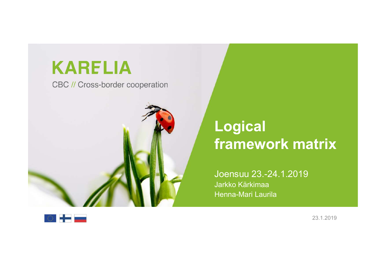## **KARELIA**

CBC // Cross-border cooperation



## Logical **Sand Charles Concrete Stramework matrix**<br>**Framework matrix**<br>Joensuu 23.-24.1.2019 **Logical<br>framework matrix**<br>Joensuu 23.-24.1.2019<br>Jarkko Kärkimaa<br>Henna-Mari Laurila<br>**Mari Laurila**

Joensuu 23.-24.1.2019 Jarkko Kärkimaa

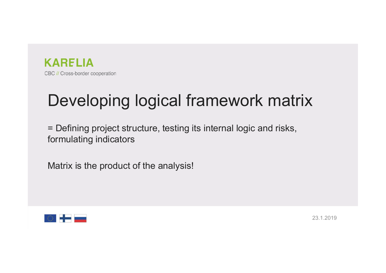

# Developing logical framework matrix

**EXARELIA**<br>BC // Cross-border cooperation<br>Developing logical framework matrix<br>= Defining project structure, testing its internal logic and risks,<br>formulating indicators **Example 12 SC // Cross-border cooperation**<br>Developing logical framework<br>Formulating project structure, testing its internal log<br>formulating indicators<br>Matrix is the product of the analysis! **EDEVELOPT SECTORE COOPERING**<br>
Developing logical framework mass<br>
FORT Developing logical framework mass<br>
Formulating indicators<br>
Matrix is the product of the analysis!

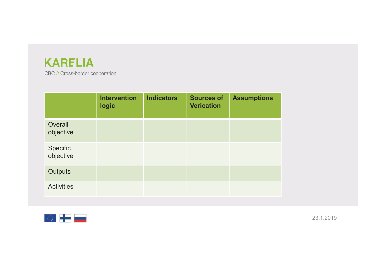## **KARELIA**

| <b>KARELIA</b><br>CBC // Cross-border cooperation |                     |                   |                   |                    |
|---------------------------------------------------|---------------------|-------------------|-------------------|--------------------|
|                                                   |                     |                   |                   |                    |
|                                                   |                     |                   |                   |                    |
|                                                   | <b>Intervention</b> | <b>Indicators</b> | <b>Sources of</b> | <b>Assumptions</b> |
|                                                   | logic               |                   | <b>Verication</b> |                    |
| Overall<br>objective                              |                     |                   |                   |                    |
| Specific<br>objective                             |                     |                   |                   |                    |
| Outputs                                           |                     |                   |                   |                    |

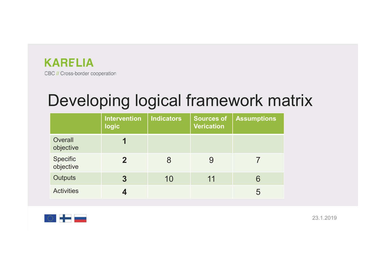

| <b><i>SARELIA</i></b><br>BC // Cross-border cooperation | <b>Intervention</b> | <b>Indicators</b> | <b>Sources of</b> | Developing logical framework matrix<br><b>Assumptions</b> |  |
|---------------------------------------------------------|---------------------|-------------------|-------------------|-----------------------------------------------------------|--|
|                                                         | <b>logic</b>        |                   | <b>Verication</b> |                                                           |  |
| Overall<br>objective                                    | 1                   |                   |                   |                                                           |  |
|                                                         |                     | 8                 | 9                 | $\overline{7}$                                            |  |
| Specific<br>objective                                   | $\overline{2}$      |                   |                   |                                                           |  |
| <b>Outputs</b>                                          | $\overline{3}$      | 10                | 11                | 6                                                         |  |

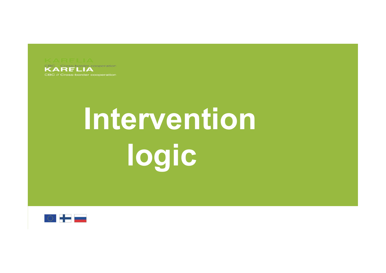

## Intervention logic

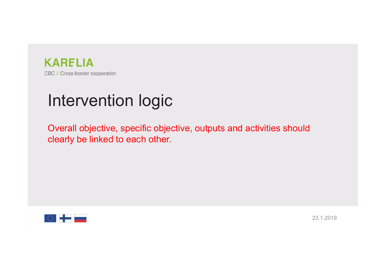

## Intervention logic

**CARELIA**<br>BC // Cross-border cooperation<br>**Intervention logic**<br>Overall objective, specific objective, outputs and activities should<br>clearly be linked to each other. **Example 2014**<br>BC // Cross-border cooperation<br>**Intervention logic**<br>Overall objective, specific objective, outputs and activities shot<br>clearly be linked to each other.

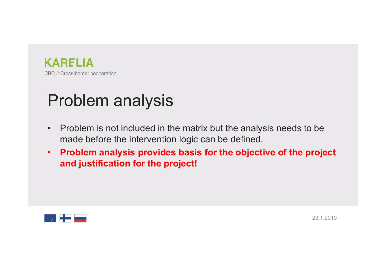

- Ender Conservation<br>Problem analysis<br>• Problem is not included in the matrix but the analysis **Example 18**<br>• Problem analysis<br>• Problem is not included in the matrix but the analysis needs to be<br>• Problem analysis provides basis for the objective of the project<br>• Problem analysis provides basis for the objective of
- RELIA<br>Cross-border cooperation<br>Problem is not included in the matrix but the analysis needs to be<br>made before the intervention logic can be defined.<br>Problem analysis provides basis for the objective of the project<br>and just Froblem analysis<br>• Problem is not included in the matrix but the analysis needs to be<br>• Mohem is not included in the matrix but the analysis needs to be<br>• Problem analysis provides basis for the objective of the project<br>• RELIA<br>
Cross-border cooperation<br> **roblem** is not included in the matrix but the analysis needs to<br>
made before the intervention logic can be defined.<br> **Problem analysis provides basis for the objective of the profand justi**

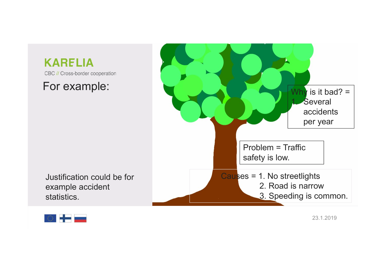

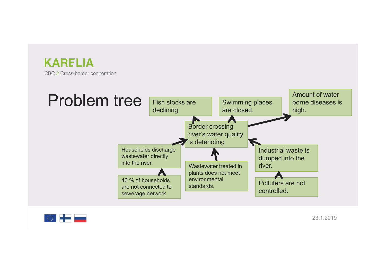

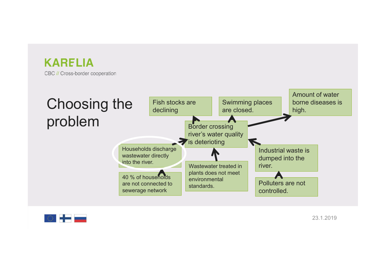

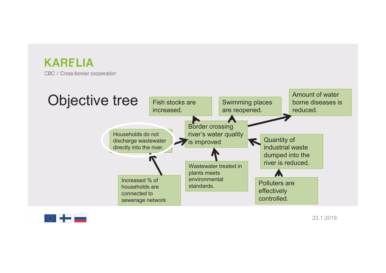

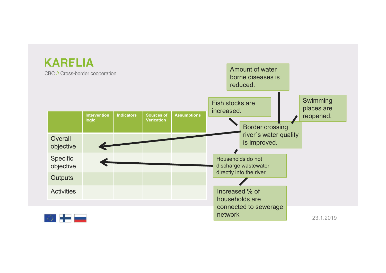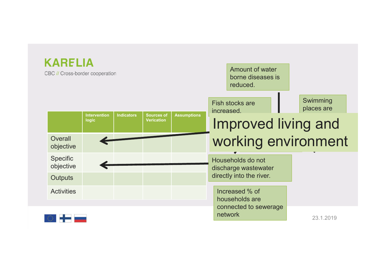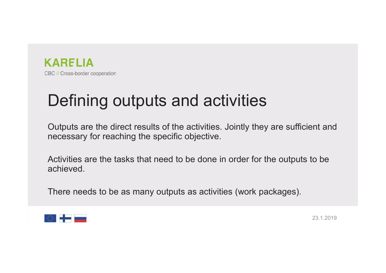

# **KARELIA**<br>Be // Cross-border cooperation<br>**Defining outputs and activities**<br>Outputs are the direct results of <u>th</u>e activities. Jointly they are sufficient and

**CARELIA**<br>BC/I/Cross-border cooperation<br>**Defining outputs and activities.**<br>Outputs are the direct results of the activities. Jointly they are sufficient and<br>necessary for reaching the specific objective. ERTELIA<br>Defining outputs and activities<br>Outputs are the direct results of the activities. Jointly they are sufficient and<br>necessary for reaching the specific objective.<br>Activities are the tasks that need to be done in orde EQ *N Cross-border cooperation*<br> **Defining outputs and activities**<br>
Outputs are the direct results of the activities. Jointly they are sufficient and<br>
necessary for reaching the specific objective.<br>
Activities are the task Defining outputs and activities<br>
Outputs are the direct results of the activities. Jointly they are sufficient and<br>
necessary for reaching the specific objective.<br>
Activities are the tasks that need to be done in order for

achieved.

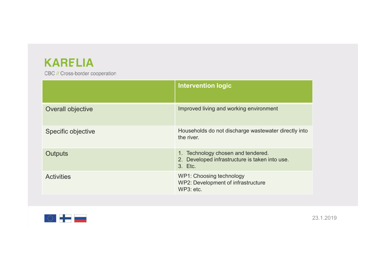| <b>KARELIA</b><br>CBC // Cross-border cooperation |                                                                                                 |
|---------------------------------------------------|-------------------------------------------------------------------------------------------------|
|                                                   | <b>Intervention logic</b>                                                                       |
| Overall objective                                 | Improved living and working environment                                                         |
| Specific objective                                | Households do not discharge wastewater directly into<br>the river.                              |
| <b>Outputs</b>                                    | 1. Technology chosen and tendered.<br>2. Developed infrastructure is taken into use.<br>3. Etc. |
| <b>Activities</b>                                 | WP1: Choosing technology<br>WP2: Development of infrastructure<br>WP3: etc.                     |
|                                                   |                                                                                                 |

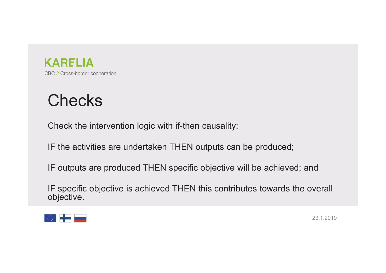

## **Checks**

**CARELIA**<br>BC// Cross-border cooperation<br>Check the intervention logic with if-then causality:<br>IF the activities are undertaken THEN outputs can be produced;

**IF the activities are undertaken THEN outputs can be produced;**<br>IF the activities are undertaken THEN outputs can be produced;<br>IF outputs are produced THEN specific objective will be achieved; and

**CARELIA**<br>
Be//Cross-border cooperation<br>
Check the intervention logic with if-then causality:<br>
IF the activities are undertaken THEN outputs can be produced;<br>
IF outputs are produced THEN specific objective will be achieve IF the activities are undertaken THEN outputs can be produced;<br>IF the activities are undertaken THEN outputs can be produced;<br>IF outputs are produced THEN specific objective will be achieved; and<br>IF specific objective is a IF specific objective is achieved THEN this contributes towards the overall objective.

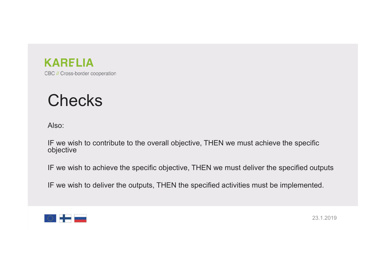

## **Checks**

Also:

**CARELIA**<br>
BC // Cross-border cooperation<br>
Also:<br>IF we wish to contribute to the overall objective, THEN we must achieve the specific<br>
IF we wish to achieve the specific objective, THEN we must deliver the specified output IF we wish to contribute to the overall objective, THEN we must achieve the specific objective **Checks**<br>IB BC // Cross-border cooperation<br>Also:<br>IF we wish to contribute to the overall objective, THEN we must achieve the specific<br>IF we wish to achieve the specific objective, THEN we must deliver the specified outputs BC *II* Cross-border cooperation<br>
IF we wish to contribute to the overall objective, THEN we must achieve the specific<br>
IF we wish to achieve the specific objective, THEN we must deliver the specified outputs<br>
IF we wish t

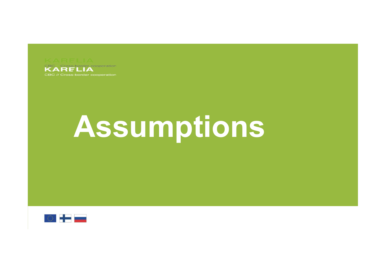

## Assumptions

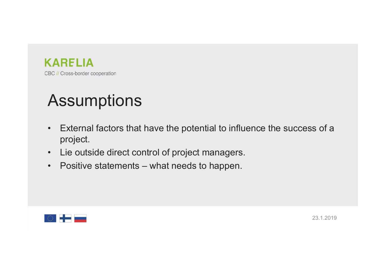

## **Assumptions**

- **External factors that have the potential to influence the success of a**<br>• External factors that have the potential to influence the success of a<br>• Lie outside direct control of project managers. project. FRIM BOW Cross-border cooperation<br>• External factors that have the potential to influence the success of a<br>• Lie outside direct control of project managers.<br>• Positive statements – what needs to happen. FORT CONSECUTE COOPERATION<br>
• External factors that have the potential to influence the success of a<br>
• Lie outside direct control of project managers.<br>
• Positive statements – what needs to happen.
- 
- 

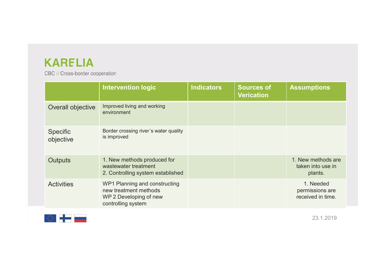| <b>KARELIA</b>                  |                                                                                                        |                   |                                        |                                                    |
|---------------------------------|--------------------------------------------------------------------------------------------------------|-------------------|----------------------------------------|----------------------------------------------------|
| CBC // Cross-border cooperation |                                                                                                        |                   |                                        |                                                    |
|                                 | <b>Intervention logic</b>                                                                              | <b>Indicators</b> | <b>Sources of</b><br><b>Verication</b> | <b>Assumptions</b>                                 |
| Overall objective               | Improved living and working<br>environment                                                             |                   |                                        |                                                    |
| Specific<br>objective           | Border crossing river's water quality<br>is improved                                                   |                   |                                        |                                                    |
| Outputs                         | 1. New methods produced for<br>wastewater treatment<br>2. Controlling system established               |                   |                                        | 1. New methods are<br>taken into use in<br>plants. |
| <b>Activities</b>               | WP1 Planning and constructing<br>new treatment methods<br>WP 2 Developing of new<br>controlling system |                   |                                        | 1. Needed<br>permissions are<br>received in time.  |
| $\circ$ $\bullet$ $\bullet$     |                                                                                                        |                   |                                        | 23.1.2019                                          |

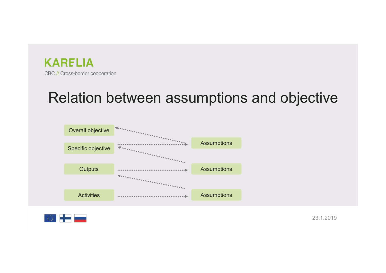

# Relation between assumptions and objective



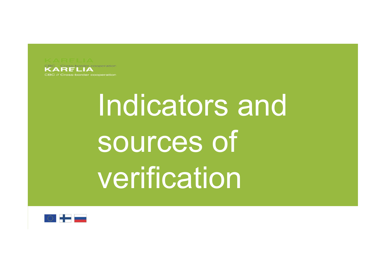

## Indicators and sources of verification

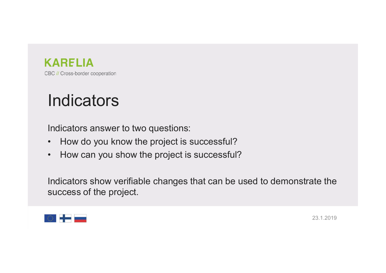

## **Indicators**

- 
- **EXAMPLIA**<br>
Indicators<br>
Indicators answer to two questions:<br>
 How do you know the project is successful?<br>
 How can you show the project is successful? EC // Cross-border cooperation<br>
Indicators<br>
Indicators answer to two questions:<br>
• How do you know the project is successful?<br>
• How can you show the project is successful?

ERTELIA<br>
BC // Cross-border cooperation<br>
Indicators answer to two questions:<br>
• How do you know the project is successful?<br>
• How can you show the project is successful?<br>
Indicators show verifiable changes that can be used **Indicators**<br>
Indicators answer to two questions:<br>
• How do you know the project is successful?<br>
• How can you show the project is successful?<br>
Indicators show verifiable changes that can be used to demonstrate the<br>
succes Indicators<br>
Indicators<br>
Substant text of the questions:<br>
Now do you know the project is successful?<br>
Now can you show the project is successful?<br>
Indicators show verifiable changes that can be used<br>
Success of the project.

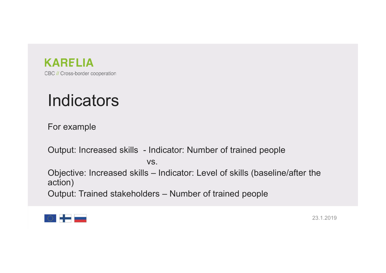

## **Indicators**

For example

vs.

**KARELIA**<br>
BC//Cross-border cooperation<br> **Indicators**<br>
For example<br>
Output: Increased skills - Indicator: Number of trained people<br>
VS.<br>
Objective: Increased skills – Indicator: Level of skills (baseline/after the **KARELIA**<br>BC#Cross-border cooperation<br>**Indicators**<br>For example<br>Output: Increased skills – Indicator: Number of trained people<br>Objective: Increased skills – Indicator: Level of skills (baseline/after the<br>action)<br>Output: Tra action) Indicators<br>
For example<br>
Output: Increased skills - Indicator: Number of trained people<br>
Objective: Increased skills – Indicator: Level of skills (baseline/after the<br>
action)<br>
Output: Trained stakeholders – Number of train

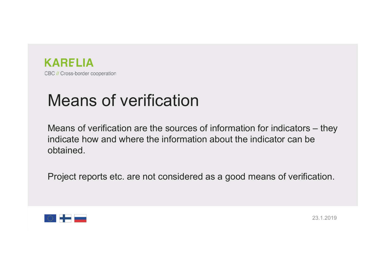

# **Example 2016**<br>Means of verification<br>Means of verification are the sources of information for i

**KARELIA**<br>BC // Cross-border cooperation<br>Means of verification are the sources of information for indicators – they<br>indicate how and where the information about the indicator can be<br>obtained. **KARELIA**<br>Indicate recoperation<br>Means of verification are the sources of information for indicators – they<br>indicate how and where the information about the indicator can be<br>obtained. obtained. **CARELIA**<br>PEC *N* Cross-border cooperation<br>Means of verification are the sources of information for indicators – they<br>indicate how and where the information about the indicator can be<br>obtained.<br>Project reports etc. are not

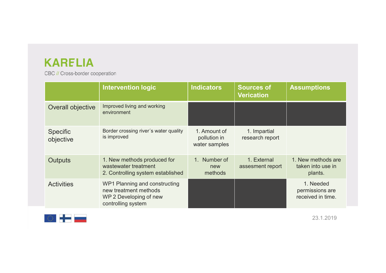| <b>KARELIA</b>                  |                                                                                                        |                                               |                                        |                                                    |
|---------------------------------|--------------------------------------------------------------------------------------------------------|-----------------------------------------------|----------------------------------------|----------------------------------------------------|
| CBC // Cross-border cooperation |                                                                                                        |                                               |                                        |                                                    |
|                                 | <b>Intervention logic</b>                                                                              | <b>Indicators</b>                             | <b>Sources of</b><br><b>Verication</b> | <b>Assumptions</b>                                 |
| Overall objective               | Improved living and working<br>environment                                                             |                                               |                                        |                                                    |
| Specific<br>objective           | Border crossing river's water quality<br>is improved                                                   | 1. Amount of<br>pollution in<br>water samples | 1. Impartial<br>research report        |                                                    |
| Outputs                         | 1. New methods produced for<br>wastewater treatment<br>2. Controlling system established               | 1. Number of<br>new<br>methods                | 1. External<br>assesment report        | 1. New methods are<br>taken into use in<br>plants. |
| <b>Activities</b>               | WP1 Planning and constructing<br>new treatment methods<br>WP 2 Developing of new<br>controlling system |                                               |                                        | 1. Needed<br>permissions are<br>received in time.  |
| <b>OS HELE</b>                  |                                                                                                        |                                               |                                        | 23.1.2019                                          |
|                                 |                                                                                                        |                                               |                                        |                                                    |

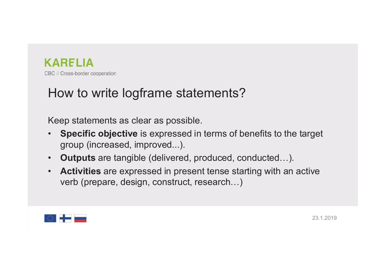

# **KARELIA**<br>BC // Cross-border cooperation<br>How to write logframe statements?<br>Keep statements as clear as possible.

- ERTELIA<br>BC // Cross-border cooperation<br>How to write logframe statements?<br>Keep statements as clear as possible.<br>• Specific objective is expressed in terms of benefits to the ta<br>group (increased, improved...). CARELIA<br>• Se *ii* Cross-border cooperation<br>• How to write logframe statements?<br>• Specific objective is expressed in terms of benefits to the target<br>• outputs are tangible (delivered, produced, conducted...). **RELIA**<br>Cross-border cooperation<br>DW **to Write logframe statements**<br>ep statements as clear as possible.<br>**Specific objective** is expressed in terms of<br>group (increased, improved...).<br>**Outputs** are tangible (delivered, produc EC // Cross-border cooperation<br>
• How to write logframe statements?<br>
• Specific objective is expressed in terms of benefits to the target<br>
• Specific objective is expressed in terms of benefits to the target<br>
• Outputs ar **EXARELIA**<br>
• Activity consecution<br> **How to write logframe statements?**<br>
• Specific objective is expressed in terms of benefits to the target<br>
• Specific objective is expressed in terms of benefits to the target<br>
• Outputs Cross-border cooperation<br>DW to Write logframe statements?<br>ep statements as clear as possible.<br>Specific objective is expressed in terms of b<br>group (increased, improved...).<br>Outputs are tangible (delivered, produced, constru
- 
- 

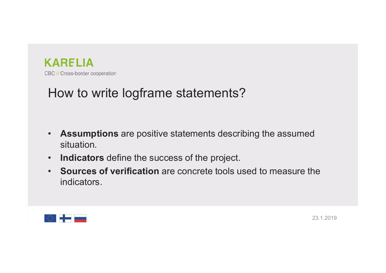

# **KARELIA**<br>BC // Cross-border cooperation<br>How to write logframe statements?

- **EXARELIA**<br>• Assumptions are positive statements?<br>• Assumptions are positive statements describing the assumed<br>• Indicators define the success of the project. situation.
- 
- EC // Cross-border cooperation<br>
How to write logframe statements?<br>
 Assumptions are positive statements describing the assumed<br>
 Indicators define the success of the project.<br>
 Sources of verification are concrete tools **ECTELIA**<br>
• BCT Cross-border cooperation<br>
• **Assumptions** are positive statements describing the assumed<br> **• Indicators** define the success of the project.<br>
• **Sources of verification** are concrete tools used to measure t indicators.